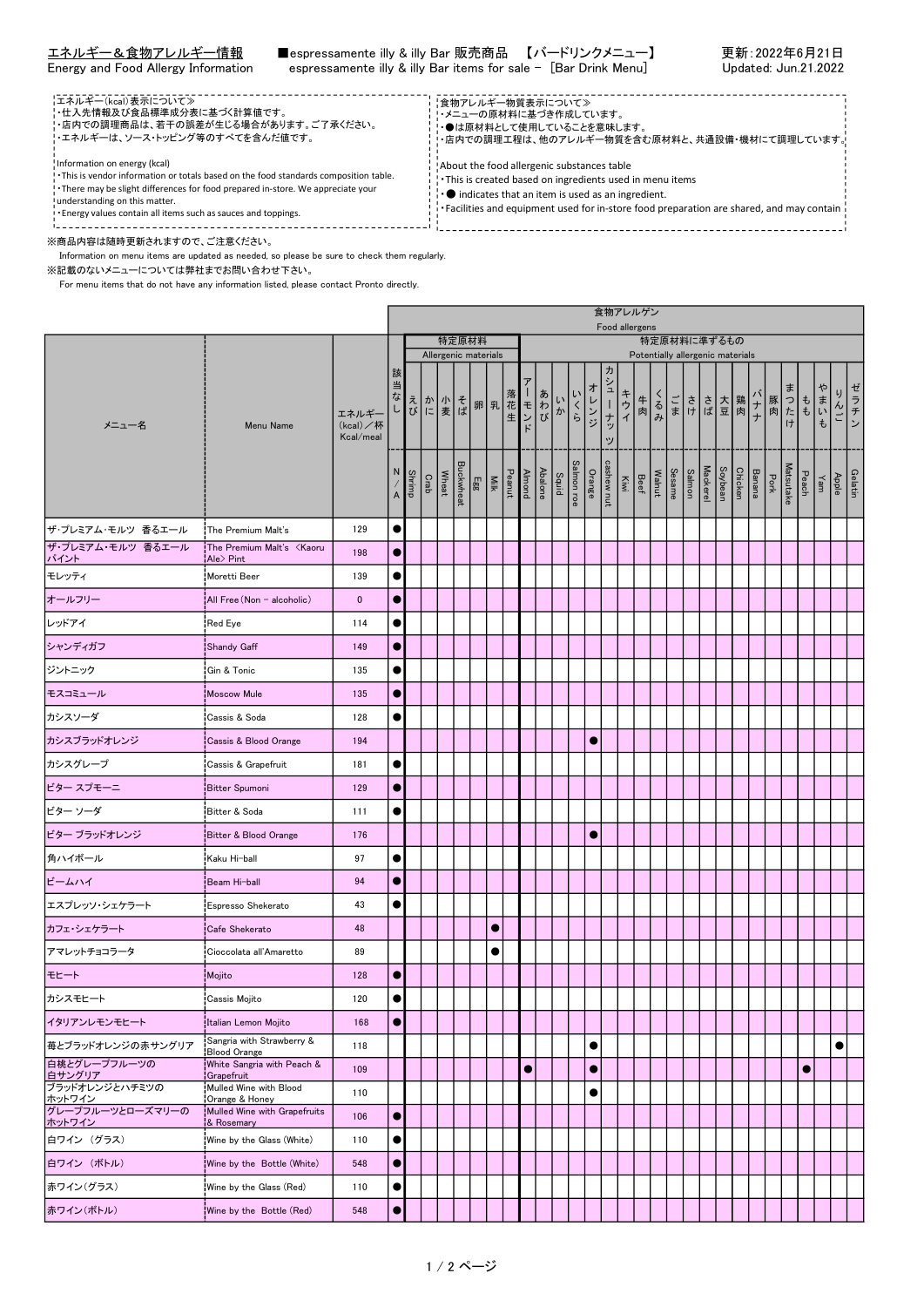| -エネルギー(kcal)表示について≫<br>- 仕入先情報及び食品標準成分表に基づく計算値です。<br>'・店内での調理商品は、若干の誤差が生じる場合があります。ご了承ください。<br>! エネルギーは、ソース・トッピング等のすべてを含んだ値です。                                                                                                                                                                                | ¦食物アレルギー物質表示について≫<br>・メニューの原材料に基づき作成しています。<br>・●は原材料として使用していることを意味します。<br>!・店内での調理工程は、他のアレルギー物質を含む原材料と、共通設備・機材にて調理しています。!                                                                                                                                              |  |
|--------------------------------------------------------------------------------------------------------------------------------------------------------------------------------------------------------------------------------------------------------------------------------------------------------------|------------------------------------------------------------------------------------------------------------------------------------------------------------------------------------------------------------------------------------------------------------------------|--|
| Information on energy (kcal)<br>! This is vendor information or totals based on the food standards composition table.<br>. There may be slight differences for food prepared in-store. We appreciate your<br>understanding on this matter.<br>. Energy values contain all items such as sauces and toppings. | About the food allergenic substances table<br>. This is created based on ingredients used in menu items<br>$\cdot \bullet$ indicates that an item is used as an ingredient.<br>Facilities and equipment used for in-store food preparation are shared, and may contain |  |

※商品内容は随時更新されますので、ご注意ください。

Information on menu items are updated as needed, so please be sure to check them regularly.

※記載のないメニューについては弊社までお問い合わせ下さい。

For menu items that do not have any information listed, please contact Pronto directly.

|                                                          |                                                       |                                |                                                                                                                                                                                                                                                                                                                                                                                                                                                                                       |        |      |       |  |  |           |  |           |  |  |                                                                           |           |            | 食物アレルゲン<br>Food allergens |        |     |  |  |                                                                              |  |           |     |           |         |
|----------------------------------------------------------|-------------------------------------------------------|--------------------------------|---------------------------------------------------------------------------------------------------------------------------------------------------------------------------------------------------------------------------------------------------------------------------------------------------------------------------------------------------------------------------------------------------------------------------------------------------------------------------------------|--------|------|-------|--|--|-----------|--|-----------|--|--|---------------------------------------------------------------------------|-----------|------------|---------------------------|--------|-----|--|--|------------------------------------------------------------------------------|--|-----------|-----|-----------|---------|
| メニュー名<br>Menu Name                                       |                                                       |                                | 特定原材料<br>特定原材料に準ずるもの<br>Allergenic materials<br>Potentially allergenic materials                                                                                                                                                                                                                                                                                                                                                                                                      |        |      |       |  |  |           |  |           |  |  |                                                                           |           |            |                           |        |     |  |  |                                                                              |  |           |     |           |         |
|                                                          |                                                       |                                | 該                                                                                                                                                                                                                                                                                                                                                                                                                                                                                     |        |      |       |  |  |           |  |           |  |  |                                                                           |           | ヵ          |                           |        |     |  |  |                                                                              |  |           |     |           |         |
|                                                          |                                                       | エネルギー<br>(kcal)/杯<br>Kcal/meal | 当<br>なし                                                                                                                                                                                                                                                                                                                                                                                                                                                                               |        |      |       |  |  |           |  |           |  |  | えか そ 卵 乳 在 モ わ か くち しょうかく こうき ば の えいしょう ふくらく                              | オレンジ      | シューナッ<br>ッ | キウイ                       | 牛<br>肉 | くるみ |  |  | ごささ大鶏ナ<br>まけば豆肉ナ                                                             |  |           |     | りんご       | ゼラチン    |
|                                                          |                                                       |                                | N,<br>$\mathsf{A}% _{\mathsf{A}}\left( \mathsf{A}\right) \equiv\mathsf{A}_{\mathsf{A}}\left( \mathsf{A}% _{\mathsf{A}}\right) \equiv\mathsf{A}_{\mathsf{A}}\left( \mathsf{A}_{\mathsf{A}}\right) \equiv\mathsf{A}_{\mathsf{A}}\left( \mathsf{A}_{\mathsf{A}}\right) \equiv\mathsf{A}_{\mathsf{A}}\left( \mathsf{A}_{\mathsf{A}}\right) \equiv\mathsf{A}_{\mathsf{A}}\left( \mathsf{A}_{\mathsf{A}}\right) \equiv\mathsf{A}_{\mathsf{A}}\left( \mathsf{A}_{\mathsf{A}}\right) \equiv\$ | Shrimp | Crab | Wheat |  |  |           |  |           |  |  | Salmon roe<br>Squid<br>Ahalone<br>Peanut<br>Egg<br>Buckwheat<br>Buckwheat | Orange    | cashew nut | $\sum_{i \leq n}$         | Beef   |     |  |  | Matsutake<br>Pork<br>Barana<br>Soybean<br>Sesame<br>Sesame<br>Wahut<br>Wahut |  | Peach     | Yam | Apple     | Gelatin |
| ザ・プレミアム・モルツ 香るエール                                        | The Premium Malt's                                    | 129                            | $\bullet$                                                                                                                                                                                                                                                                                                                                                                                                                                                                             |        |      |       |  |  |           |  |           |  |  |                                                                           |           |            |                           |        |     |  |  |                                                                              |  |           |     |           |         |
| ザ・プレミアム・モルツ 香るエール<br><u> パイント</u>                        | The Premium Malt's <kaoru<br>¦Ale&gt; Pint</kaoru<br> | 198                            | $\bullet$                                                                                                                                                                                                                                                                                                                                                                                                                                                                             |        |      |       |  |  |           |  |           |  |  |                                                                           |           |            |                           |        |     |  |  |                                                                              |  |           |     |           |         |
| モレッティ                                                    | <b>Moretti Beer</b>                                   | 139                            | $\bullet$                                                                                                                                                                                                                                                                                                                                                                                                                                                                             |        |      |       |  |  |           |  |           |  |  |                                                                           |           |            |                           |        |     |  |  |                                                                              |  |           |     |           |         |
| オールフリー                                                   | All Free (Non - alcoholic)                            | $\bf{0}$                       | 0                                                                                                                                                                                                                                                                                                                                                                                                                                                                                     |        |      |       |  |  |           |  |           |  |  |                                                                           |           |            |                           |        |     |  |  |                                                                              |  |           |     |           |         |
| レッドアイ                                                    | Red Eye                                               | 114                            |                                                                                                                                                                                                                                                                                                                                                                                                                                                                                       |        |      |       |  |  |           |  |           |  |  |                                                                           |           |            |                           |        |     |  |  |                                                                              |  |           |     |           |         |
| シャンディガフ                                                  | Shandy Gaff                                           | 149                            | O                                                                                                                                                                                                                                                                                                                                                                                                                                                                                     |        |      |       |  |  |           |  |           |  |  |                                                                           |           |            |                           |        |     |  |  |                                                                              |  |           |     |           |         |
| ジントニック                                                   | ¦Gin & Tonic                                          | 135                            | $\bullet$                                                                                                                                                                                                                                                                                                                                                                                                                                                                             |        |      |       |  |  |           |  |           |  |  |                                                                           |           |            |                           |        |     |  |  |                                                                              |  |           |     |           |         |
| モスコミュール                                                  | Moscow Mule                                           | 135                            | O                                                                                                                                                                                                                                                                                                                                                                                                                                                                                     |        |      |       |  |  |           |  |           |  |  |                                                                           |           |            |                           |        |     |  |  |                                                                              |  |           |     |           |         |
| カシスソーダ                                                   | <b>Cassis &amp; Soda</b>                              | 128                            |                                                                                                                                                                                                                                                                                                                                                                                                                                                                                       |        |      |       |  |  |           |  |           |  |  |                                                                           |           |            |                           |        |     |  |  |                                                                              |  |           |     |           |         |
| カシスブラッドオレンジ                                              | Cassis & Blood Orange                                 | 194                            |                                                                                                                                                                                                                                                                                                                                                                                                                                                                                       |        |      |       |  |  |           |  |           |  |  |                                                                           |           |            |                           |        |     |  |  |                                                                              |  |           |     |           |         |
| わシスグレープ                                                  | Cassis & Grapefruit                                   | 181                            |                                                                                                                                                                                                                                                                                                                                                                                                                                                                                       |        |      |       |  |  |           |  |           |  |  |                                                                           |           |            |                           |        |     |  |  |                                                                              |  |           |     |           |         |
| ビター スプモーニ                                                | <b>Bitter Spumoni</b>                                 | 129                            | 0                                                                                                                                                                                                                                                                                                                                                                                                                                                                                     |        |      |       |  |  |           |  |           |  |  |                                                                           |           |            |                           |        |     |  |  |                                                                              |  |           |     |           |         |
| ビター ソーダ                                                  | Bitter & Soda                                         | 111                            |                                                                                                                                                                                                                                                                                                                                                                                                                                                                                       |        |      |       |  |  |           |  |           |  |  |                                                                           |           |            |                           |        |     |  |  |                                                                              |  |           |     |           |         |
| ビター ブラッドオレンジ                                             | Bitter & Blood Orange                                 | 176                            |                                                                                                                                                                                                                                                                                                                                                                                                                                                                                       |        |      |       |  |  |           |  |           |  |  |                                                                           | $\bullet$ |            |                           |        |     |  |  |                                                                              |  |           |     |           |         |
| 角ハイボール                                                   | ¦Kaku Hi−ball                                         | 97                             |                                                                                                                                                                                                                                                                                                                                                                                                                                                                                       |        |      |       |  |  |           |  |           |  |  |                                                                           |           |            |                           |        |     |  |  |                                                                              |  |           |     |           |         |
| ビームハイ                                                    | !Beam Hi−ball                                         | 94                             | 0                                                                                                                                                                                                                                                                                                                                                                                                                                                                                     |        |      |       |  |  |           |  |           |  |  |                                                                           |           |            |                           |        |     |  |  |                                                                              |  |           |     |           |         |
| エスプレッソ・シェケラート                                            | Espresso Shekerato                                    | 43                             |                                                                                                                                                                                                                                                                                                                                                                                                                                                                                       |        |      |       |  |  |           |  |           |  |  |                                                                           |           |            |                           |        |     |  |  |                                                                              |  |           |     |           |         |
| カフェ・シェケラート                                               | Cafe Shekerato                                        | 48                             |                                                                                                                                                                                                                                                                                                                                                                                                                                                                                       |        |      |       |  |  | $\bullet$ |  |           |  |  |                                                                           |           |            |                           |        |     |  |  |                                                                              |  |           |     |           |         |
| アマレットチョコラータ                                              | Cioccolata all'Amaretto                               | 89                             |                                                                                                                                                                                                                                                                                                                                                                                                                                                                                       |        |      |       |  |  |           |  |           |  |  |                                                                           |           |            |                           |        |     |  |  |                                                                              |  |           |     |           |         |
| モヒート                                                     | Mojito                                                | 128                            | 0                                                                                                                                                                                                                                                                                                                                                                                                                                                                                     |        |      |       |  |  |           |  |           |  |  |                                                                           |           |            |                           |        |     |  |  |                                                                              |  |           |     |           |         |
| カシスモヒート                                                  | Cassis Mojito                                         | 120                            | $\bullet$                                                                                                                                                                                                                                                                                                                                                                                                                                                                             |        |      |       |  |  |           |  |           |  |  |                                                                           |           |            |                           |        |     |  |  |                                                                              |  |           |     |           |         |
| イタリアンレモンモヒート                                             | Italian Lemon Mojito                                  | 168                            | $\bullet$                                                                                                                                                                                                                                                                                                                                                                                                                                                                             |        |      |       |  |  |           |  |           |  |  |                                                                           |           |            |                           |        |     |  |  |                                                                              |  |           |     |           |         |
| 苺とブラッドオレンジの赤サングリア                                        | Sangria with Strawberry &<br><b>Blood Orange</b>      | 118                            |                                                                                                                                                                                                                                                                                                                                                                                                                                                                                       |        |      |       |  |  |           |  |           |  |  |                                                                           | $\bullet$ |            |                           |        |     |  |  |                                                                              |  |           |     | $\bullet$ |         |
| 白桃とグレープフルーツの                                             | White Sangria with Peach &<br>Grapefruit              | 109                            |                                                                                                                                                                                                                                                                                                                                                                                                                                                                                       |        |      |       |  |  |           |  | $\bullet$ |  |  |                                                                           | $\bullet$ |            |                           |        |     |  |  |                                                                              |  | $\bullet$ |     |           |         |
| ー。<br><u>白サングリア<br/></u> ブラッドオレンジとハチミツの<br><u>ホットワイン</u> | Mulled Wine with Blood<br>Orange & Honey              | 110                            |                                                                                                                                                                                                                                                                                                                                                                                                                                                                                       |        |      |       |  |  |           |  |           |  |  |                                                                           | $\bullet$ |            |                           |        |     |  |  |                                                                              |  |           |     |           |         |
| グレープフルーツとローズマリーの<br>ホットワイン                               | Mulled Wine with Grapefruits<br>¦& Rosemarv           | 106                            | $\bullet$                                                                                                                                                                                                                                                                                                                                                                                                                                                                             |        |      |       |  |  |           |  |           |  |  |                                                                           |           |            |                           |        |     |  |  |                                                                              |  |           |     |           |         |
| 白ワイン (グラス)                                               | Wine by the Glass (White)                             | 110                            | $\bullet$                                                                                                                                                                                                                                                                                                                                                                                                                                                                             |        |      |       |  |  |           |  |           |  |  |                                                                           |           |            |                           |        |     |  |  |                                                                              |  |           |     |           |         |
| 白ワイン (ボトル)                                               | Wine by the Bottle (White)                            | 548                            | $\bullet$                                                                                                                                                                                                                                                                                                                                                                                                                                                                             |        |      |       |  |  |           |  |           |  |  |                                                                           |           |            |                           |        |     |  |  |                                                                              |  |           |     |           |         |
| 赤ワイン(グラス)                                                | Wine by the Glass (Red)                               | 110                            |                                                                                                                                                                                                                                                                                                                                                                                                                                                                                       |        |      |       |  |  |           |  |           |  |  |                                                                           |           |            |                           |        |     |  |  |                                                                              |  |           |     |           |         |
| 赤ワイン(ボトル)                                                | Wine by the Bottle (Red)                              | 548                            | $\bullet$                                                                                                                                                                                                                                                                                                                                                                                                                                                                             |        |      |       |  |  |           |  |           |  |  |                                                                           |           |            |                           |        |     |  |  |                                                                              |  |           |     |           |         |